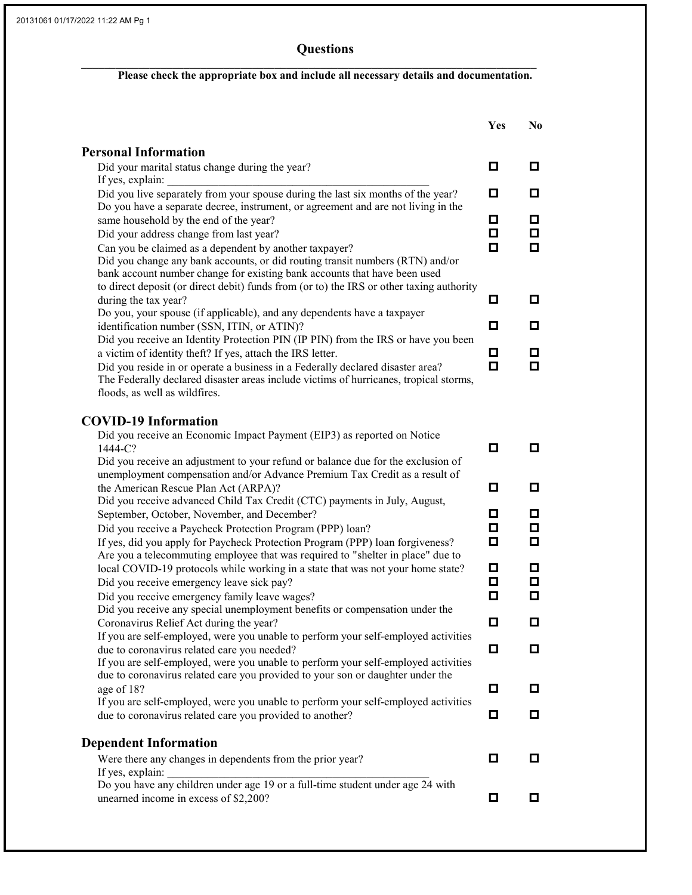## **Questions**

## Please check the appropriate box and include all necessary details and documentation.

\_\_\_\_\_\_\_\_\_\_\_\_\_\_\_\_\_\_\_\_\_\_\_\_\_\_\_\_\_\_\_\_\_\_\_\_\_\_\_\_\_\_\_\_\_\_\_\_\_\_\_\_\_\_\_\_\_\_\_\_\_\_\_\_\_\_\_\_\_\_\_\_\_\_\_\_\_\_\_\_

|                                                                                                                                                                         | Yes    | N <sub>0</sub> |
|-------------------------------------------------------------------------------------------------------------------------------------------------------------------------|--------|----------------|
| <b>Personal Information</b>                                                                                                                                             |        |                |
| Did your marital status change during the year?                                                                                                                         | o      | o              |
| If yes, explain:                                                                                                                                                        |        |                |
| Did you live separately from your spouse during the last six months of the year?                                                                                        | о      | О              |
| Do you have a separate decree, instrument, or agreement and are not living in the                                                                                       |        |                |
| same household by the end of the year?                                                                                                                                  | 0<br>О | 0<br>О         |
| Did your address change from last year?<br>Can you be claimed as a dependent by another taxpayer?                                                                       | о      | О              |
| Did you change any bank accounts, or did routing transit numbers (RTN) and/or                                                                                           |        |                |
| bank account number change for existing bank accounts that have been used                                                                                               |        |                |
| to direct deposit (or direct debit) funds from (or to) the IRS or other taxing authority                                                                                |        |                |
| during the tax year?                                                                                                                                                    | 0      | o              |
| Do you, your spouse (if applicable), and any dependents have a taxpayer                                                                                                 |        |                |
| identification number (SSN, ITIN, or ATIN)?                                                                                                                             | о      | о              |
| Did you receive an Identity Protection PIN (IP PIN) from the IRS or have you been                                                                                       |        |                |
| a victim of identity theft? If yes, attach the IRS letter.                                                                                                              | о<br>О | 0<br>о         |
| Did you reside in or operate a business in a Federally declared disaster area?<br>The Federally declared disaster areas include victims of hurricanes, tropical storms, |        |                |
| floods, as well as wildfires.                                                                                                                                           |        |                |
|                                                                                                                                                                         |        |                |
| <b>COVID-19 Information</b>                                                                                                                                             |        |                |
| Did you receive an Economic Impact Payment (EIP3) as reported on Notice                                                                                                 |        |                |
| 1444-C?                                                                                                                                                                 | О      | о              |
| Did you receive an adjustment to your refund or balance due for the exclusion of                                                                                        |        |                |
| unemployment compensation and/or Advance Premium Tax Credit as a result of                                                                                              |        |                |
| the American Rescue Plan Act (ARPA)?                                                                                                                                    | О      | о              |
| Did you receive advanced Child Tax Credit (CTC) payments in July, August,                                                                                               | 0      | 0              |
| September, October, November, and December?<br>Did you receive a Paycheck Protection Program (PPP) loan?                                                                | о      | ◘              |
| If yes, did you apply for Paycheck Protection Program (PPP) loan forgiveness?                                                                                           | О      | о              |
| Are you a telecommuting employee that was required to "shelter in place" due to                                                                                         |        |                |
| local COVID-19 protocols while working in a state that was not your home state?                                                                                         | o      | o              |
| Did you receive emergency leave sick pay?                                                                                                                               | o      | o              |
| Did you receive emergency family leave wages?                                                                                                                           | О      | О              |
| Did you receive any special unemployment benefits or compensation under the                                                                                             |        |                |
| Coronavirus Relief Act during the year?                                                                                                                                 | о      | О              |
| If you are self-employed, were you unable to perform your self-employed activities                                                                                      |        |                |
| due to coronavirus related care you needed?<br>If you are self-employed, were you unable to perform your self-employed activities                                       | о      | О              |
| due to coronavirus related care you provided to your son or daughter under the                                                                                          |        |                |
| age of 18?                                                                                                                                                              | о      | 0              |
| If you are self-employed, were you unable to perform your self-employed activities                                                                                      |        |                |
| due to coronavirus related care you provided to another?                                                                                                                | О      | О              |
|                                                                                                                                                                         |        |                |
| <b>Dependent Information</b>                                                                                                                                            |        |                |
| Were there any changes in dependents from the prior year?                                                                                                               | О      | о              |
| If yes, explain:                                                                                                                                                        |        |                |
| Do you have any children under age 19 or a full-time student under age 24 with<br>unearned income in excess of \$2,200?                                                 | 0      | 0              |
|                                                                                                                                                                         |        |                |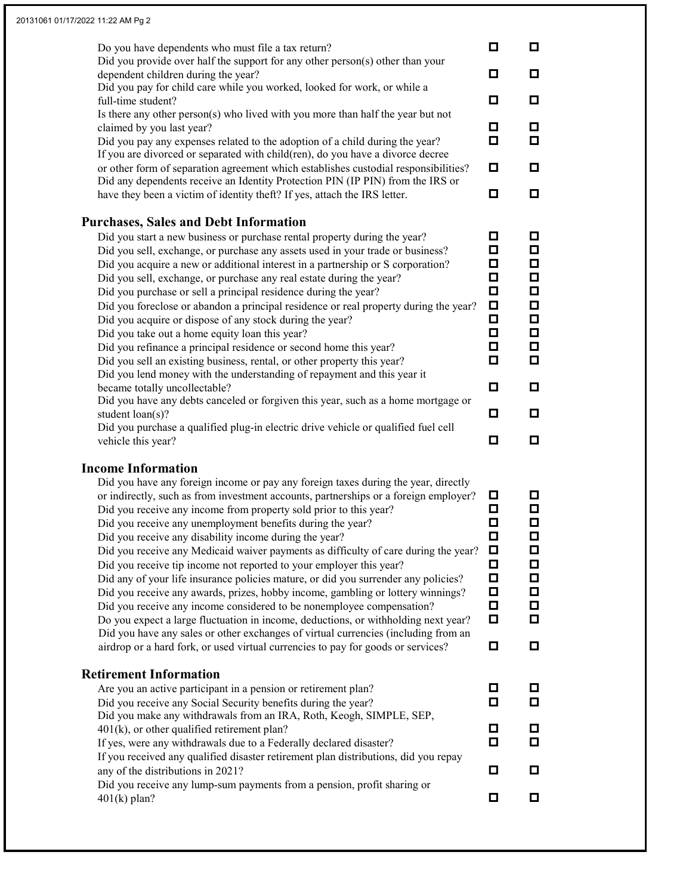| Do you have dependents who must file a tax return?<br>Did you provide over half the support for any other person(s) other than your<br>dependent children during the year?<br>Did you pay for child care while you worked, looked for work, or while a<br>full-time student?<br>Is there any other person(s) who lived with you more than half the year but not<br>claimed by you last year?<br>Did you pay any expenses related to the adoption of a child during the year?<br>If you are divorced or separated with child(ren), do you have a divorce decree<br>or other form of separation agreement which establishes custodial responsibilities?<br>Did any dependents receive an Identity Protection PIN (IP PIN) from the IRS or<br>have they been a victim of identity theft? If yes, attach the IRS letter.                                                                                                                                                                                                                                                                                                                                          | О<br>О<br>О<br>о<br>о<br>о<br>о                               | о<br>0<br>о<br>0<br>o<br>0<br>o                                    |
|---------------------------------------------------------------------------------------------------------------------------------------------------------------------------------------------------------------------------------------------------------------------------------------------------------------------------------------------------------------------------------------------------------------------------------------------------------------------------------------------------------------------------------------------------------------------------------------------------------------------------------------------------------------------------------------------------------------------------------------------------------------------------------------------------------------------------------------------------------------------------------------------------------------------------------------------------------------------------------------------------------------------------------------------------------------------------------------------------------------------------------------------------------------|---------------------------------------------------------------|--------------------------------------------------------------------|
| <b>Purchases, Sales and Debt Information</b><br>Did you start a new business or purchase rental property during the year?<br>Did you sell, exchange, or purchase any assets used in your trade or business?<br>Did you acquire a new or additional interest in a partnership or S corporation?<br>Did you sell, exchange, or purchase any real estate during the year?<br>Did you purchase or sell a principal residence during the year?<br>Did you foreclose or abandon a principal residence or real property during the year?<br>Did you acquire or dispose of any stock during the year?<br>Did you take out a home equity loan this year?<br>Did you refinance a principal residence or second home this year?<br>Did you sell an existing business, rental, or other property this year?<br>Did you lend money with the understanding of repayment and this year it<br>became totally uncollectable?<br>Did you have any debts canceled or forgiven this year, such as a home mortgage or<br>student loan(s)?<br>Did you purchase a qualified plug-in electric drive vehicle or qualified fuel cell<br>vehicle this year?<br><b>Income Information</b> | О<br>О<br>О<br>О<br>о<br>О<br>о<br>о<br>о<br>О<br>◘<br>о<br>о | o<br>□<br>□<br>о<br>о<br>о<br>□<br>□<br>$\Box$<br>О<br>o<br>0<br>0 |
| Did you have any foreign income or pay any foreign taxes during the year, directly<br>or indirectly, such as from investment accounts, partnerships or a foreign employer?<br>Did you receive any income from property sold prior to this year?<br>Did you receive any unemployment benefits during the year?<br>Did you receive any disability income during the year?<br>Did you receive any Medicaid waiver payments as difficulty of care during the year?<br>Did you receive tip income not reported to your employer this year?<br>Did any of your life insurance policies mature, or did you surrender any policies?<br>Did you receive any awards, prizes, hobby income, gambling or lottery winnings?<br>Did you receive any income considered to be nonemployee compensation?<br>Do you expect a large fluctuation in income, deductions, or withholding next year?<br>Did you have any sales or other exchanges of virtual currencies (including from an<br>airdrop or a hard fork, or used virtual currencies to pay for goods or services?                                                                                                       | О<br>о<br>О<br>О<br>□<br>О<br>О<br>О<br>О<br>◻<br>О           | 0<br>о<br>О<br>о<br>О<br>0<br>□<br>О<br>◘<br>о<br>0                |
| <b>Retirement Information</b><br>Are you an active participant in a pension or retirement plan?<br>Did you receive any Social Security benefits during the year?<br>Did you make any withdrawals from an IRA, Roth, Keogh, SIMPLE, SEP,<br>$401(k)$ , or other qualified retirement plan?<br>If yes, were any withdrawals due to a Federally declared disaster?<br>If you received any qualified disaster retirement plan distributions, did you repay<br>any of the distributions in 2021?<br>Did you receive any lump-sum payments from a pension, profit sharing or<br>$401(k)$ plan?                                                                                                                                                                                                                                                                                                                                                                                                                                                                                                                                                                      | О<br>О<br>о<br>О<br>о<br>о                                    | 0<br>0<br>0<br>o<br>0<br>o                                         |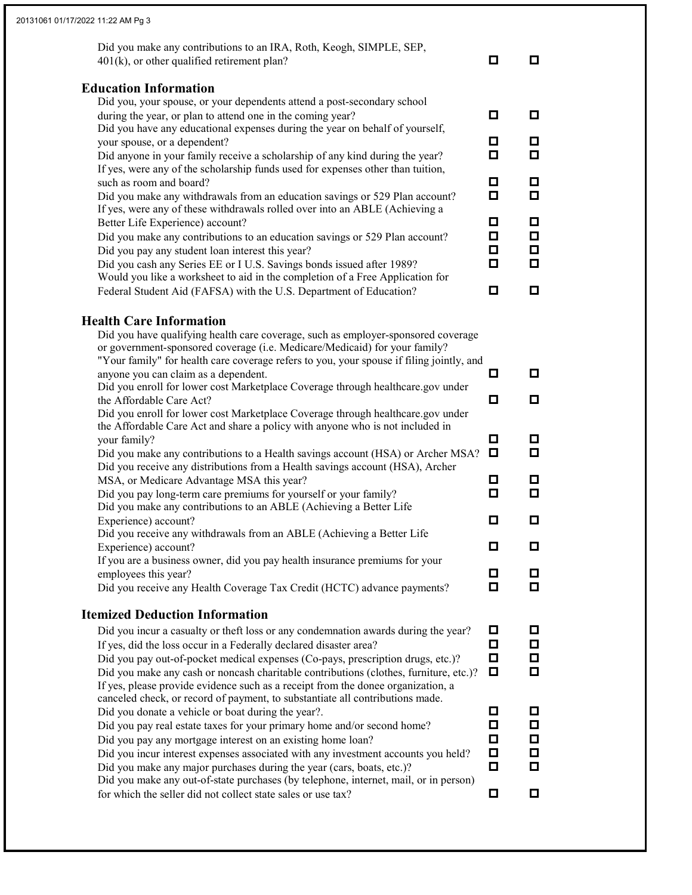| Did you make any contributions to an IRA, Roth, Keogh, SIMPLE, SEP,<br>$401(k)$ , or other qualified retirement plan?                                           | ◘                | o                |
|-----------------------------------------------------------------------------------------------------------------------------------------------------------------|------------------|------------------|
| <b>Education Information</b>                                                                                                                                    |                  |                  |
| Did you, your spouse, or your dependents attend a post-secondary school                                                                                         |                  |                  |
| during the year, or plan to attend one in the coming year?                                                                                                      | o                | o                |
| Did you have any educational expenses during the year on behalf of yourself,                                                                                    |                  |                  |
| your spouse, or a dependent?                                                                                                                                    | о                | 口                |
| Did anyone in your family receive a scholarship of any kind during the year?<br>If yes, were any of the scholarship funds used for expenses other than tuition, | О                | О                |
| such as room and board?                                                                                                                                         | ◘                | ◘                |
| Did you make any withdrawals from an education savings or 529 Plan account?                                                                                     | О                | О                |
| If yes, were any of these withdrawals rolled over into an ABLE (Achieving a                                                                                     |                  |                  |
| Better Life Experience) account?                                                                                                                                | о                | o                |
| Did you make any contributions to an education savings or 529 Plan account?                                                                                     | ◘                | Д                |
| Did you pay any student loan interest this year?                                                                                                                | О                | О                |
| Did you cash any Series EE or I U.S. Savings bonds issued after 1989?                                                                                           | О                | О                |
| Would you like a worksheet to aid in the completion of a Free Application for                                                                                   |                  | o                |
| Federal Student Aid (FAFSA) with the U.S. Department of Education?                                                                                              | ◘                |                  |
| <b>Health Care Information</b>                                                                                                                                  |                  |                  |
| Did you have qualifying health care coverage, such as employer-sponsored coverage                                                                               |                  |                  |
| or government-sponsored coverage (i.e. Medicare/Medicaid) for your family?                                                                                      |                  |                  |
| "Your family" for health care coverage refers to you, your spouse if filing jointly, and                                                                        |                  |                  |
| anyone you can claim as a dependent.                                                                                                                            | o                | o                |
| Did you enroll for lower cost Marketplace Coverage through healthcare.gov under                                                                                 |                  | o                |
| the Affordable Care Act?<br>Did you enroll for lower cost Marketplace Coverage through healthcare.gov under                                                     | ◘                |                  |
| the Affordable Care Act and share a policy with anyone who is not included in                                                                                   |                  |                  |
| your family?                                                                                                                                                    | o                | ◘                |
| Did you make any contributions to a Health savings account (HSA) or Archer MSA?                                                                                 | O                | □                |
| Did you receive any distributions from a Health savings account (HSA), Archer                                                                                   |                  |                  |
| MSA, or Medicare Advantage MSA this year?                                                                                                                       | 0                | o                |
| Did you pay long-term care premiums for yourself or your family?                                                                                                | О                | О                |
| Did you make any contributions to an ABLE (Achieving a Better Life<br>Experience) account?                                                                      | ◘                | ◘                |
| Did you receive any withdrawals from an ABLE (Achieving a Better Life                                                                                           |                  |                  |
| Experience) account?                                                                                                                                            | о                | o                |
| If you are a business owner, did you pay health insurance premiums for your                                                                                     |                  |                  |
| employees this year?                                                                                                                                            | o                | $\Box$           |
| Did you receive any Health Coverage Tax Credit (HCTC) advance payments?                                                                                         | $\Box$           | О                |
| <b>Itemized Deduction Information</b>                                                                                                                           |                  |                  |
| Did you incur a casualty or theft loss or any condemnation awards during the year?                                                                              | o                | o                |
| If yes, did the loss occur in a Federally declared disaster area?                                                                                               | $\Box$           | $\Box$           |
| Did you pay out-of-pocket medical expenses (Co-pays, prescription drugs, etc.)?                                                                                 | О                | □                |
| Did you make any cash or noncash charitable contributions (clothes, furniture, etc.)?                                                                           | o                | 0                |
| If yes, please provide evidence such as a receipt from the donee organization, a                                                                                |                  |                  |
| canceled check, or record of payment, to substantiate all contributions made.                                                                                   |                  |                  |
| Did you donate a vehicle or boat during the year?.                                                                                                              | ◘                | o                |
| Did you pay real estate taxes for your primary home and/or second home?                                                                                         | ◘                | □                |
|                                                                                                                                                                 | $\Box$<br>$\Box$ | $\Box$<br>$\Box$ |
| Did you pay any mortgage interest on an existing home loan?                                                                                                     |                  |                  |
| Did you incur interest expenses associated with any investment accounts you held?                                                                               |                  |                  |
| Did you make any major purchases during the year (cars, boats, etc.)?<br>Did you make any out-of-state purchases (by telephone, internet, mail, or in person)   | $\Box$           | О                |